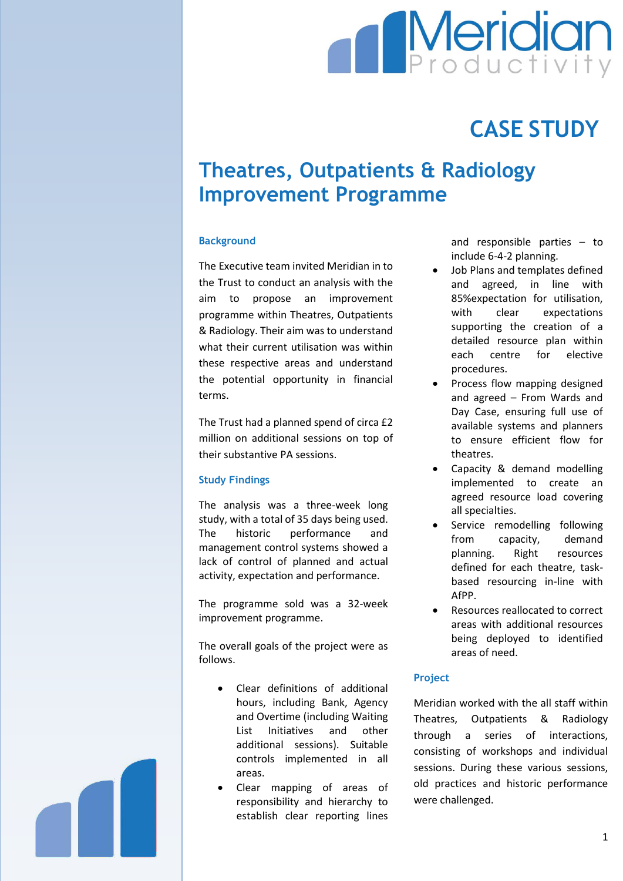# **Meridian**

## **CASE STUDY**

### **Theatres, Outpatients & Radiology Improvement Programme**

#### **Background**

The Executive team invited Meridian in to the Trust to conduct an analysis with the aim to propose an improvement programme within Theatres, Outpatients & Radiology. Their aim was to understand what their current utilisation was within these respective areas and understand the potential opportunity in financial terms.

The Trust had a planned spend of circa £2 million on additional sessions on top of their substantive PA sessions.

#### **Study Findings**

The analysis was a three-week long study, with a total of 35 days being used. The historic performance and management control systems showed a lack of control of planned and actual activity, expectation and performance.

The programme sold was a 32-week improvement programme.

The overall goals of the project were as follows.

- Clear definitions of additional hours, including Bank, Agency and Overtime (including Waiting List Initiatives and other additional sessions). Suitable controls implemented in all areas.
- Clear mapping of areas of responsibility and hierarchy to establish clear reporting lines

and responsible parties – to include 6-4-2 planning.

- Job Plans and templates defined and agreed, in line with 85%expectation for utilisation, with clear expectations supporting the creation of a detailed resource plan within each centre for elective procedures.
- Process flow mapping designed and agreed – From Wards and Day Case, ensuring full use of available systems and planners to ensure efficient flow for theatres.
- Capacity & demand modelling implemented to create an agreed resource load covering all specialties.
- Service remodelling following from capacity, demand planning. Right resources defined for each theatre, taskbased resourcing in-line with AfPP.
- Resources reallocated to correct areas with additional resources being deployed to identified areas of need.

#### **Project**

Meridian worked with the all staff within Theatres, Outpatients & Radiology through a series of interactions, consisting of workshops and individual sessions. During these various sessions, old practices and historic performance were challenged.

1